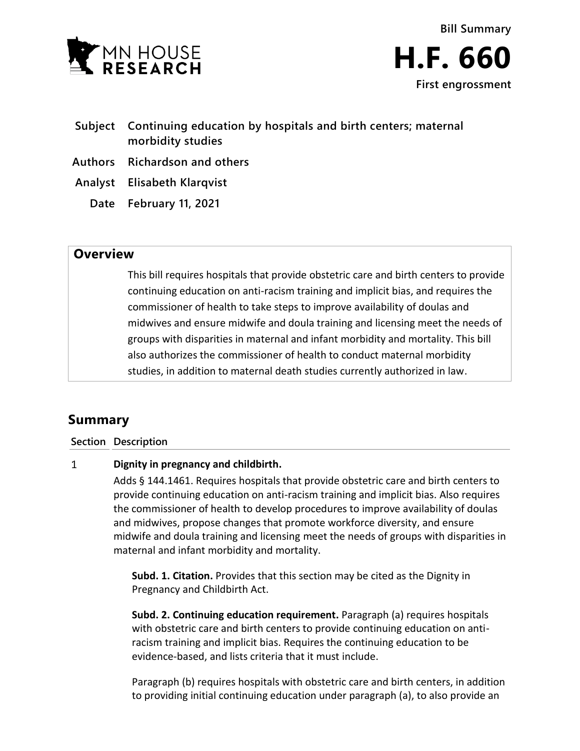



- **Subject Continuing education by hospitals and birth centers; maternal morbidity studies**
- **Authors Richardson and others**
- **Analyst Elisabeth Klarqvist**
	- **Date February 11, 2021**

## **Overview**

This bill requires hospitals that provide obstetric care and birth centers to provide continuing education on anti-racism training and implicit bias, and requires the commissioner of health to take steps to improve availability of doulas and midwives and ensure midwife and doula training and licensing meet the needs of groups with disparities in maternal and infant morbidity and mortality. This bill also authorizes the commissioner of health to conduct maternal morbidity studies, in addition to maternal death studies currently authorized in law.

# **Summary**

## **Section Description**

#### $\mathbf{1}$ **Dignity in pregnancy and childbirth.**

Adds § 144.1461. Requires hospitals that provide obstetric care and birth centers to provide continuing education on anti-racism training and implicit bias. Also requires the commissioner of health to develop procedures to improve availability of doulas and midwives, propose changes that promote workforce diversity, and ensure midwife and doula training and licensing meet the needs of groups with disparities in maternal and infant morbidity and mortality.

**Subd. 1. Citation.** Provides that this section may be cited as the Dignity in Pregnancy and Childbirth Act.

**Subd. 2. Continuing education requirement.** Paragraph (a) requires hospitals with obstetric care and birth centers to provide continuing education on antiracism training and implicit bias. Requires the continuing education to be evidence-based, and lists criteria that it must include.

Paragraph (b) requires hospitals with obstetric care and birth centers, in addition to providing initial continuing education under paragraph (a), to also provide an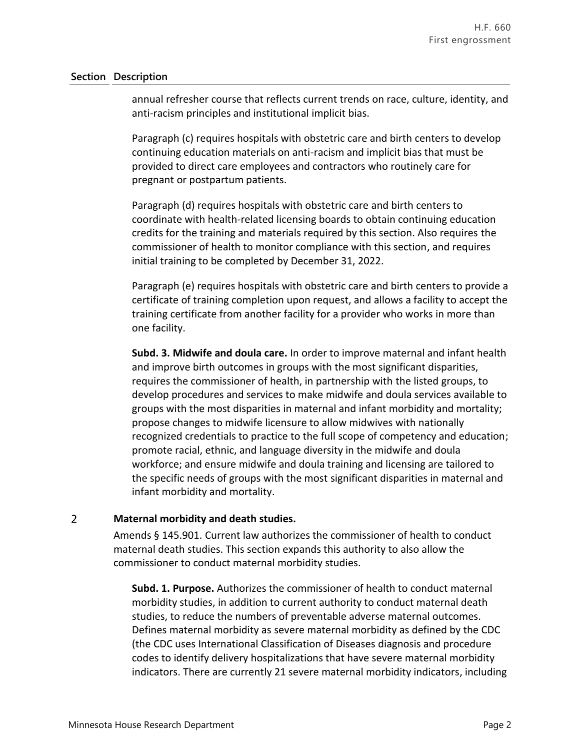### **Section Description**

annual refresher course that reflects current trends on race, culture, identity, and anti-racism principles and institutional implicit bias.

Paragraph (c) requires hospitals with obstetric care and birth centers to develop continuing education materials on anti-racism and implicit bias that must be provided to direct care employees and contractors who routinely care for pregnant or postpartum patients.

Paragraph (d) requires hospitals with obstetric care and birth centers to coordinate with health-related licensing boards to obtain continuing education credits for the training and materials required by this section. Also requires the commissioner of health to monitor compliance with this section, and requires initial training to be completed by December 31, 2022.

Paragraph (e) requires hospitals with obstetric care and birth centers to provide a certificate of training completion upon request, and allows a facility to accept the training certificate from another facility for a provider who works in more than one facility.

**Subd. 3. Midwife and doula care.** In order to improve maternal and infant health and improve birth outcomes in groups with the most significant disparities, requires the commissioner of health, in partnership with the listed groups, to develop procedures and services to make midwife and doula services available to groups with the most disparities in maternal and infant morbidity and mortality; propose changes to midwife licensure to allow midwives with nationally recognized credentials to practice to the full scope of competency and education; promote racial, ethnic, and language diversity in the midwife and doula workforce; and ensure midwife and doula training and licensing are tailored to the specific needs of groups with the most significant disparities in maternal and infant morbidity and mortality.

#### $\overline{2}$ **Maternal morbidity and death studies.**

Amends § 145.901. Current law authorizes the commissioner of health to conduct maternal death studies. This section expands this authority to also allow the commissioner to conduct maternal morbidity studies.

**Subd. 1. Purpose.** Authorizes the commissioner of health to conduct maternal morbidity studies, in addition to current authority to conduct maternal death studies, to reduce the numbers of preventable adverse maternal outcomes. Defines maternal morbidity as severe maternal morbidity as defined by the CDC (the CDC uses International Classification of Diseases diagnosis and procedure codes to identify delivery hospitalizations that have severe maternal morbidity indicators. There are currently 21 severe maternal morbidity indicators, including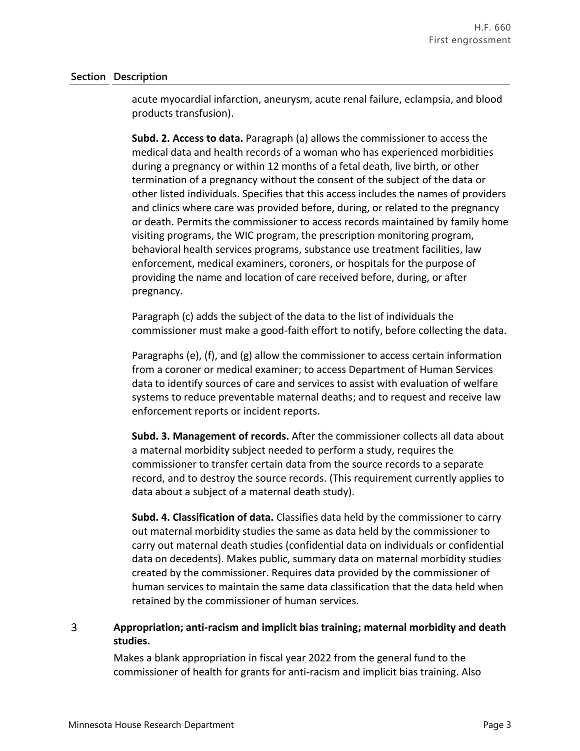### **Section Description**

acute myocardial infarction, aneurysm, acute renal failure, eclampsia, and blood products transfusion).

**Subd. 2. Access to data.** Paragraph (a) allows the commissioner to access the medical data and health records of a woman who has experienced morbidities during a pregnancy or within 12 months of a fetal death, live birth, or other termination of a pregnancy without the consent of the subject of the data or other listed individuals. Specifies that this access includes the names of providers and clinics where care was provided before, during, or related to the pregnancy or death. Permits the commissioner to access records maintained by family home visiting programs, the WIC program, the prescription monitoring program, behavioral health services programs, substance use treatment facilities, law enforcement, medical examiners, coroners, or hospitals for the purpose of providing the name and location of care received before, during, or after pregnancy.

Paragraph (c) adds the subject of the data to the list of individuals the commissioner must make a good-faith effort to notify, before collecting the data.

Paragraphs (e), (f), and (g) allow the commissioner to access certain information from a coroner or medical examiner; to access Department of Human Services data to identify sources of care and services to assist with evaluation of welfare systems to reduce preventable maternal deaths; and to request and receive law enforcement reports or incident reports.

**Subd. 3. Management of records.** After the commissioner collects all data about a maternal morbidity subject needed to perform a study, requires the commissioner to transfer certain data from the source records to a separate record, and to destroy the source records. (This requirement currently applies to data about a subject of a maternal death study).

**Subd. 4. Classification of data.** Classifies data held by the commissioner to carry out maternal morbidity studies the same as data held by the commissioner to carry out maternal death studies (confidential data on individuals or confidential data on decedents). Makes public, summary data on maternal morbidity studies created by the commissioner. Requires data provided by the commissioner of human services to maintain the same data classification that the data held when retained by the commissioner of human services.

#### 3 **Appropriation; anti-racism and implicit bias training; maternal morbidity and death studies.**

Makes a blank appropriation in fiscal year 2022 from the general fund to the commissioner of health for grants for anti-racism and implicit bias training. Also